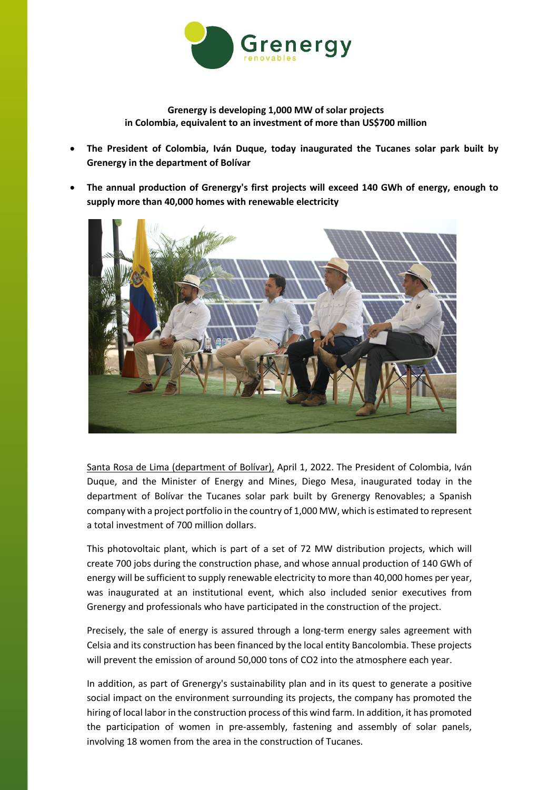

**Grenergy is developing 1,000 MW of solar projects in Colombia, equivalent to an investment of more than US\$700 million**

- **The President of Colombia, Iván Duque, today inaugurated the Tucanes solar park built by Grenergy in the department of Bolívar**
- **The annual production of Grenergy's first projects will exceed 140 GWh of energy, enough to supply more than 40,000 homes with renewable electricity**



Santa Rosa de Lima (department of Bolívar), April 1, 2022. The President of Colombia, Iván Duque, and the Minister of Energy and Mines, Diego Mesa, inaugurated today in the department of Bolívar the Tucanes solar park built by Grenergy Renovables; a Spanish company with a project portfolio in the country of 1,000 MW, which is estimated to represent a total investment of 700 million dollars.

This photovoltaic plant, which is part of a set of 72 MW distribution projects, which will create 700 jobs during the construction phase, and whose annual production of 140 GWh of energy will be sufficient to supply renewable electricity to more than 40,000 homes per year, was inaugurated at an institutional event, which also included senior executives from Grenergy and professionals who have participated in the construction of the project.

Precisely, the sale of energy is assured through a long-term energy sales agreement with Celsia and its construction has been financed by the local entity Bancolombia. These projects will prevent the emission of around 50,000 tons of CO2 into the atmosphere each year.

In addition, as part of Grenergy's sustainability plan and in its quest to generate a positive social impact on the environment surrounding its projects, the company has promoted the hiring of local labor in the construction process of this wind farm. In addition, it has promoted the participation of women in pre-assembly, fastening and assembly of solar panels, involving 18 women from the area in the construction of Tucanes.